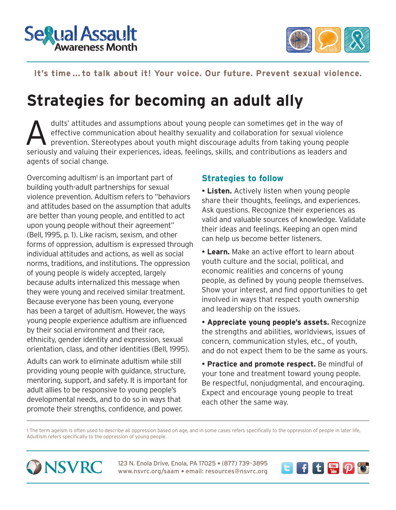



**IT'S TIME ... TO TALK ABOUT IT'S TIME ...** 

# **It's time ... to talk about it! Your voice. Our future. Prevent sexual violence.**

# **Strategies for becoming an adult ally**

dults' attitudes and assumptions about young people can sometimes get in the way of<br>effective communication about healthy sexuality and collaboration for sexual violence<br>prevention. Stereotypes about youth might discourage effective communication about healthy sexuality and collaboration for sexual violence prevention. Stereotypes about youth might discourage adults from taking young people seriously and valuing their experiences, ideas, feelings, skills, and contributions as leaders and agents of social change.

Overcoming adultism<sup>1</sup> is an important part of building youth-adult partnerships for sexual violence prevention. Adultism refers to "behaviors and attitudes based on the assumption that adults are better than young people, and entitled to act upon young people without their agreement" (Bell, 1995, p. 1). Like racism, sexism, and other forms of oppression, adultism is expressed through individual attitudes and actions, as well as social norms, traditions, and institutions. The oppression of young people is widely accepted, largely because adults internalized this message when they were young and received similar treatment. Because everyone has been young, everyone has been a target of adultism. However, the ways young people experience adultism are influenced by their social environment and their race, ethnicity, gender identity and expression, sexual orientation, class, and other identities (Bell, 1995).

Adults can work to eliminate adultism while still providing young people with guidance, structure, mentoring, support, and safety. It is important for adult allies to be responsive to young people's developmental needs, and to do so in ways that promote their strengths, confidence, and power.

## **Strategies to follow**

 **Listen.** Actively listen when young people share their thoughts, feelings, and experiences. Ask questions. Recognize their experiences as valid and valuable sources of knowledge. Validate their ideas and feelings. Keeping an open mind can help us become better listeners.

 **Learn.** Make an active effort to learn about youth culture and the social, political, and economic realities and concerns of young people, as defined by young people themselves. Show your interest, and find opportunities to get involved in ways that respect youth ownership and leadership on the issues.

 **Appreciate young people's assets.** Recognize the strengths and abilities, worldviews, issues of concern, communication styles, etc., of youth, and do not expect them to be the same as yours.

 **Practice and promote respect.** Be mindful of your tone and treatment toward young people. Be respectful, nonjudgmental, and encouraging. Expect and encourage young people to treat each other the same way.

1 The term ageism is often used to describe all oppression based on age, and in some cases refers specifically to the oppression of people in later life, Adultism refers specifically to the oppression of young people.



123 N. Enola Drive, Enola, PA 17025 · (877) 739-3895 www.nsvrc.org/saam • email: resources@nsvrc.org